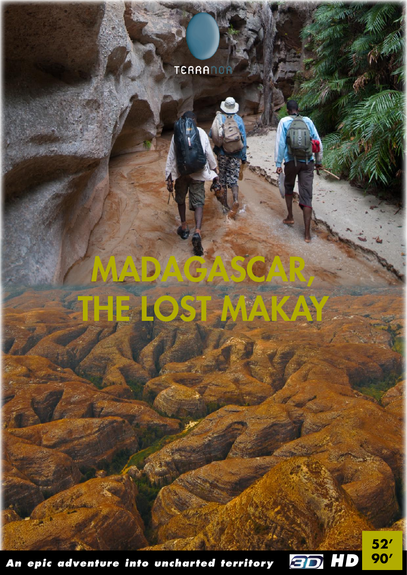## **TERRANOR**

## MADAGAS **IEE OST** IN FALL A

An epic adventure into uncharted territory



 $52'$ 90'